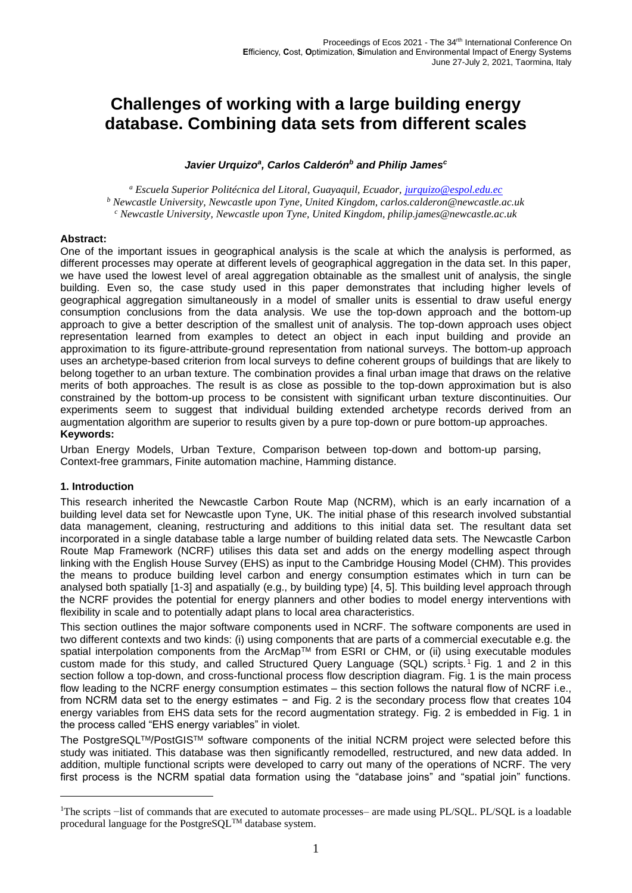# **Challenges of working with a large building energy database. Combining data sets from different scales**

#### *Javier Urquizo<sup>a</sup> , Carlos Calderón<sup>b</sup> and Philip James<sup>c</sup>*

*<sup>a</sup> Escuela Superior Politécnica del Litoral, Guayaquil, Ecuador, [jurquizo@espol.edu.ec](mailto:jurquizo@espol.edu.ec) <sup>b</sup> Newcastle University, Newcastle upon Tyne, United Kingdom, carlos.calderon@newcastle.ac.uk <sup>c</sup> Newcastle University, Newcastle upon Tyne, United Kingdom, philip.james@newcastle.ac.uk*

#### **Abstract:**

One of the important issues in geographical analysis is the scale at which the analysis is performed, as different processes may operate at different levels of geographical aggregation in the data set. In this paper, we have used the lowest level of areal aggregation obtainable as the smallest unit of analysis, the single building. Even so, the case study used in this paper demonstrates that including higher levels of geographical aggregation simultaneously in a model of smaller units is essential to draw useful energy consumption conclusions from the data analysis. We use the top-down approach and the bottom-up approach to give a better description of the smallest unit of analysis. The top-down approach uses object representation learned from examples to detect an object in each input building and provide an approximation to its figure-attribute-ground representation from national surveys. The bottom-up approach uses an archetype-based criterion from local surveys to define coherent groups of buildings that are likely to belong together to an urban texture. The combination provides a final urban image that draws on the relative merits of both approaches. The result is as close as possible to the top-down approximation but is also constrained by the bottom-up process to be consistent with significant urban texture discontinuities. Our experiments seem to suggest that individual building extended archetype records derived from an augmentation algorithm are superior to results given by a pure top-down or pure bottom-up approaches. **Keywords:**

Urban Energy Models, Urban Texture, Comparison between top-down and bottom-up parsing, Context-free grammars, Finite automation machine, Hamming distance.

# **1. Introduction**

This research inherited the Newcastle Carbon Route Map (NCRM), which is an early incarnation of a building level data set for Newcastle upon Tyne, UK. The initial phase of this research involved substantial data management, cleaning, restructuring and additions to this initial data set. The resultant data set incorporated in a single database table a large number of building related data sets. The Newcastle Carbon Route Map Framework (NCRF) utilises this data set and adds on the energy modelling aspect through linking with the English House Survey (EHS) as input to the Cambridge Housing Model (CHM). This provides the means to produce building level carbon and energy consumption estimates which in turn can be analysed both spatially [1-3] and aspatially (e.g., by building type) [4, 5]. This building level approach through the NCRF provides the potential for energy planners and other bodies to model energy interventions with flexibility in scale and to potentially adapt plans to local area characteristics.

This section outlines the major software components used in NCRF. The software components are used in two different contexts and two kinds: (i) using components that are parts of a commercial executable e.g. the spatial interpolation components from the ArcMap™ from ESRI or CHM, or (ii) using executable modules custom made for this study, and called Structured Query Language (SQL) scripts. <sup>1</sup> [Fig.](#page-1-0) 1 and 2 in this section follow a top-down, and cross-functional process flow description diagram. [Fig.](#page-1-0) 1 is the main process flow leading to the NCRF energy consumption estimates – this section follows the natural flow of NCRF i.e., from NCRM data set to the energy estimates − and [Fig.](#page-2-0) 2 is the secondary process flow that creates 104 energy variables from EHS data sets for the record augmentation strategy. [Fig.](#page-2-0) 2 is embedded in [Fig.](#page-1-0) [1](#page-1-0) in the process called "EHS energy variables" in violet.

The PostgreSQL™/PostGIS™ software components of the initial NCRM project were selected before this study was initiated. This database was then significantly remodelled, restructured, and new data added. In addition, multiple functional scripts were developed to carry out many of the operations of NCRF. The very first process is the NCRM spatial data formation using the "database joins" and "spatial join" functions.

<sup>1</sup>The scripts −list of commands that are executed to automate processes– are made using PL/SQL. PL/SQL is a loadable procedural language for the PostgreSQL<sup>TM</sup> database system.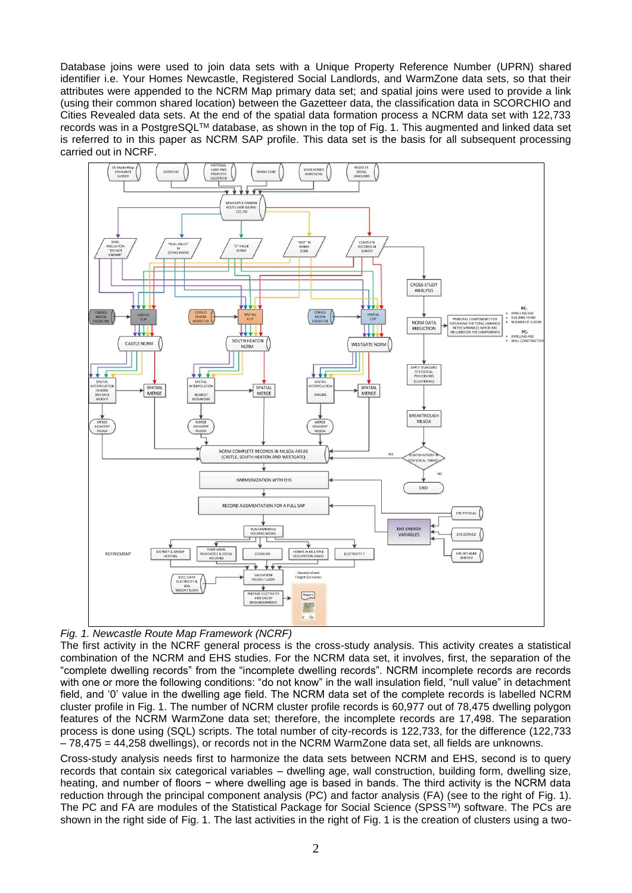Database joins were used to join data sets with a Unique Property Reference Number (UPRN) shared identifier i.e. Your Homes Newcastle, Registered Social Landlords, and WarmZone data sets, so that their attributes were appended to the NCRM Map primary data set; and spatial joins were used to provide a link (using their common shared location) between the Gazetteer data, the classification data in SCORCHIO and Cities Revealed data sets. At the end of the spatial data formation process a NCRM data set with 122,733 records was in a PostgreSQLTM database, as shown in the top of [Fig.](#page-1-0) [1](#page-1-0). This augmented and linked data set is referred to in this paper as NCRM SAP profile. This data set is the basis for all subsequent processing carried out in NCRF.



<span id="page-1-0"></span>

The first activity in the NCRF general process is the cross-study analysis. This activity creates a statistical combination of the NCRM and EHS studies. For the NCRM data set, it involves, first, the separation of the "complete dwelling records" from the "incomplete dwelling records". NCRM incomplete records are records with one or more the following conditions: "do not know" in the wall insulation field, "null value" in detachment field, and '0' value in the dwelling age field. The NCRM data set of the complete records is labelled NCRM cluster profile in [Fig.](#page-1-0) 1. The number of NCRM cluster profile records is 60,977 out of 78,475 dwelling polygon features of the NCRM WarmZone data set; therefore, the incomplete records are 17,498. The separation process is done using (SQL) scripts. The total number of city-records is 122,733, for the difference (122,733 – 78,475 = 44,258 dwellings), or records not in the NCRM WarmZone data set, all fields are unknowns.

Cross-study analysis needs first to harmonize the data sets between NCRM and EHS, second is to query records that contain six categorical variables – dwelling age, wall construction, building form, dwelling size, heating, and number of floors − where dwelling age is based in bands. The third activity is the NCRM data reduction through the principal component analysis (PC) and factor analysis (FA) (see to the right of [Fig.](#page-1-0) [1](#page-1-0)). The PC and FA are modules of the Statistical Package for Social Science (SPSSTM) software. The PCs are shown in the right side of [Fig.](#page-1-0) [1](#page-1-0). The last activities in the right of [Fig.](#page-1-0) [1](#page-1-0) is the creation of clusters using a two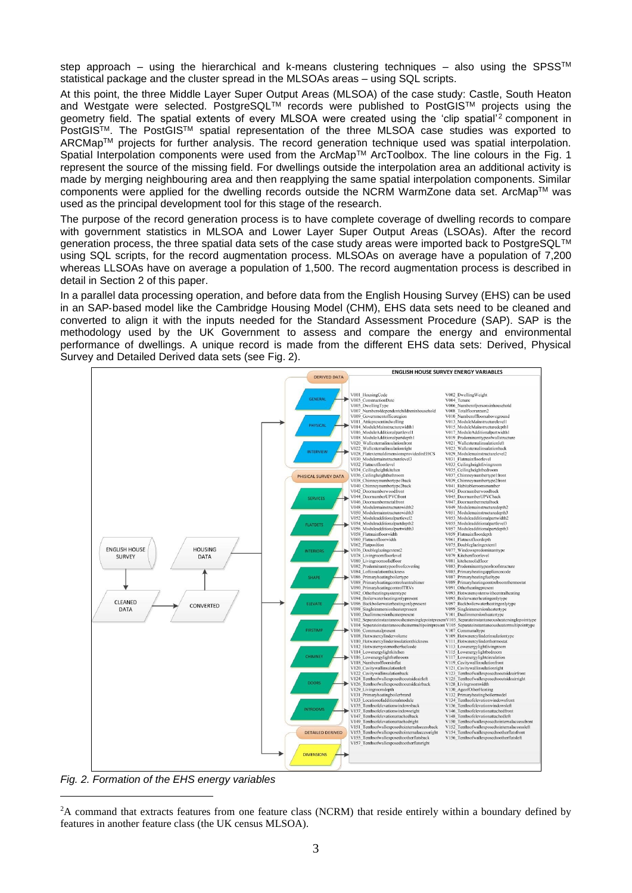step approach – using the hierarchical and k-means clustering techniques – also using the SPSS™ statistical package and the cluster spread in the MLSOAs areas – using SQL scripts.

At this point, the three Middle Layer Super Output Areas (MLSOA) of the case study: Castle, South Heaton and Westgate were selected. PostgreSQL™ records were published to PostGIS™ projects using the geometry field. The spatial extents of every MLSOA were created using the 'clip spatial'<sup>2</sup> component in PostGISTM. The PostGISTM spatial representation of the three MLSOA case studies was exported to ARCMapTM projects for further analysis. The record generation technique used was spatial interpolation. Spatial Interpolation components were used from the ArcMap™ ArcToolbox. The line colours in the [Fig.](#page-1-0) 1 represent the source of the missing field. For dwellings outside the interpolation area an additional activity is made by merging neighbouring area and then reapplying the same spatial interpolation components. Similar components were applied for the dwelling records outside the NCRM WarmZone data set. ArcMapTM was used as the principal development tool for this stage of the research.

The purpose of the record generation process is to have complete coverage of dwelling records to compare with government statistics in MLSOA and Lower Layer Super Output Areas (LSOAs). After the record generation process, the three spatial data sets of the case study areas were imported back to PostgreSQLTM using SQL scripts, for the record augmentation process. MLSOAs on average have a population of 7,200 whereas LLSOAs have on average a population of 1,500. The record augmentation process is described in detail in Section 2 of this paper.

In a parallel data processing operation, and before data from the English Housing Survey (EHS) can be used in an SAP‐based model like the Cambridge Housing Model (CHM), EHS data sets need to be cleaned and converted to align it with the inputs needed for the Standard Assessment Procedure (SAP). SAP is the methodology used by the UK Government to assess and compare the energy and environmental performance of dwellings. A unique record is made from the different EHS data sets: Derived, Physical Survey and Detailed Derived data sets (see [Fig.](#page-2-0) [2](#page-2-0)).



<span id="page-2-0"></span>*Fig. 2. Formation of the EHS energy variables*

<sup>&</sup>lt;sup>2</sup>A command that extracts features from one feature class (NCRM) that reside entirely within a boundary defined by features in another feature class (the UK census MLSOA).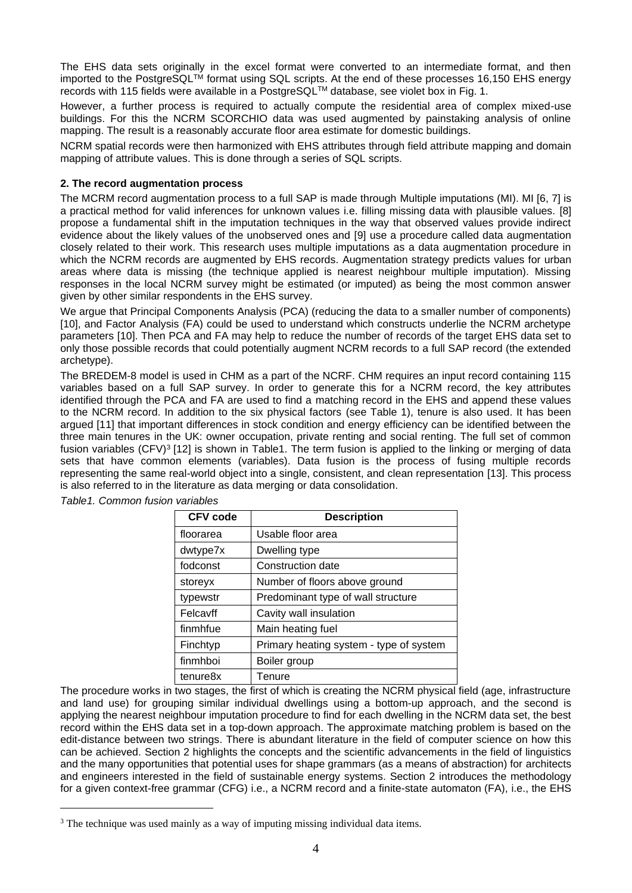The EHS data sets originally in the excel format were converted to an intermediate format, and then imported to the PostgreSQL<sup>TM</sup> format using SQL scripts. At the end of these processes 16,150 EHS energy records with 115 fields were available in a PostgreSQL<sup>TM</sup> database, see violet box in [Fig.](#page-1-0) 1.

However, a further process is required to actually compute the residential area of complex mixed-use buildings. For this the NCRM SCORCHIO data was used augmented by painstaking analysis of online mapping. The result is a reasonably accurate floor area estimate for domestic buildings.

NCRM spatial records were then harmonized with EHS attributes through field attribute mapping and domain mapping of attribute values. This is done through a series of SQL scripts.

# **2. The record augmentation process**

The MCRM record augmentation process to a full SAP is made through Multiple imputations (MI). MI [6, 7] is a practical method for valid inferences for unknown values i.e. filling missing data with plausible values. [8] propose a fundamental shift in the imputation techniques in the way that observed values provide indirect evidence about the likely values of the unobserved ones and [9] use a procedure called data augmentation closely related to their work. This research uses multiple imputations as a data augmentation procedure in which the NCRM records are augmented by EHS records. Augmentation strategy predicts values for urban areas where data is missing (the technique applied is nearest neighbour multiple imputation). Missing responses in the local NCRM survey might be estimated (or imputed) as being the most common answer given by other similar respondents in the EHS survey.

We argue that Principal Components Analysis (PCA) (reducing the data to a smaller number of components) [10], and Factor Analysis (FA) could be used to understand which constructs underlie the NCRM archetype parameters [10]. Then PCA and FA may help to reduce the number of records of the target EHS data set to only those possible records that could potentially augment NCRM records to a full SAP record (the extended archetype).

The BREDEM-8 model is used in CHM as a part of the NCRF. CHM requires an input record containing 115 variables based on a full SAP survey. In order to generate this for a NCRM record, the key attributes identified through the PCA and FA are used to find a matching record in the EHS and append these values to the NCRM record. In addition to the six physical factors (see Table 1), tenure is also used. It has been argued [11] that important differences in stock condition and energy efficiency can be identified between the three main tenures in the UK: owner occupation, private renting and social renting. The full set of common fusion variables (CFV)<sup>3</sup> [12] is shown in [Table1.](#page-3-0) The term fusion is applied to the linking or merging of data sets that have common elements (variables). Data fusion is the process of fusing multiple records representing the same real-world object into a single, consistent, and clean representation [13]. This process is also referred to in the literature as data merging or data consolidation.

| <b>CFV code</b>      | <b>Description</b>                      |
|----------------------|-----------------------------------------|
| floorarea            | Usable floor area                       |
| dwtype7x             | Dwelling type                           |
| fodconst             | Construction date                       |
| storeyx              | Number of floors above ground           |
| typewstr             | Predominant type of wall structure      |
| Felcavff             | Cavity wall insulation                  |
| finmhfue             | Main heating fuel                       |
| Finchtyp             | Primary heating system - type of system |
| finmhboi             | Boiler group                            |
| tenure <sub>8x</sub> | Tenure                                  |

<span id="page-3-0"></span>*Table1. Common fusion variables*

The procedure works in two stages, the first of which is creating the NCRM physical field (age, infrastructure and land use) for grouping similar individual dwellings using a bottom-up approach, and the second is applying the nearest neighbour imputation procedure to find for each dwelling in the NCRM data set, the best record within the EHS data set in a top-down approach. The approximate matching problem is based on the edit-distance between two strings. There is abundant literature in the field of computer science on how this can be achieved. Section 2 highlights the concepts and the scientific advancements in the field of linguistics and the many opportunities that potential uses for shape grammars (as a means of abstraction) for architects and engineers interested in the field of sustainable energy systems. Section 2 introduces the methodology for a given context-free grammar (CFG) i.e., a NCRM record and a finite-state automaton (FA), i.e., the EHS

<sup>&</sup>lt;sup>3</sup> The technique was used mainly as a way of imputing missing individual data items.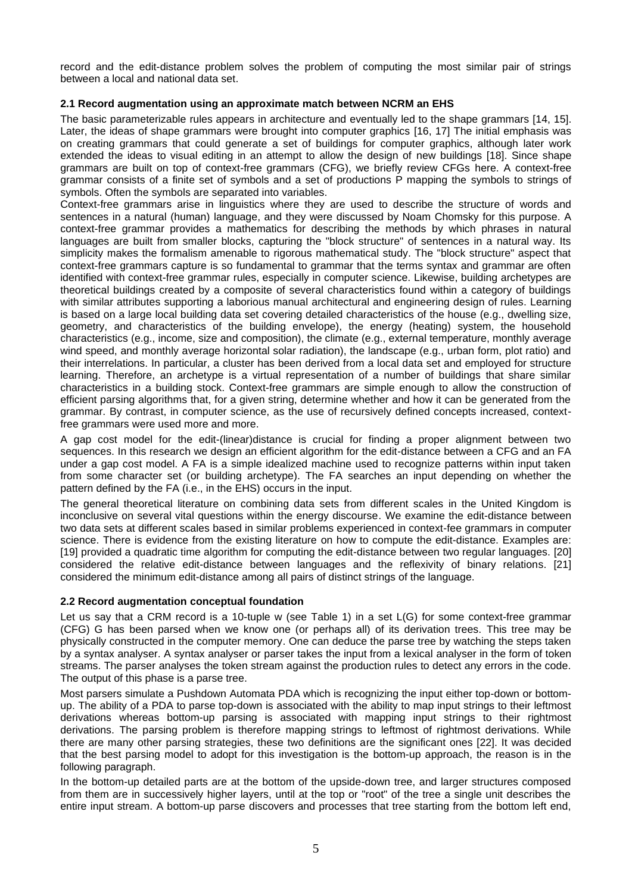record and the edit-distance problem solves the problem of computing the most similar pair of strings between a local and national data set.

# **2.1 Record augmentation using an approximate match between NCRM an EHS**

The basic parameterizable rules appears in architecture and eventually led to the shape grammars [14, 15]. Later, the ideas of shape grammars were brought into computer graphics [16, 17] The initial emphasis was on creating grammars that could generate a set of buildings for computer graphics, although later work extended the ideas to visual editing in an attempt to allow the design of new buildings [18]. Since shape grammars are built on top of context-free grammars (CFG), we briefly review CFGs here. A context-free grammar consists of a finite set of symbols and a set of productions P mapping the symbols to strings of symbols. Often the symbols are separated into variables.

Context-free grammars arise in linguistics where they are used to describe the structure of words and sentences in a natural (human) language, and they were discussed by Noam Chomsky for this purpose. A context-free grammar provides a mathematics for describing the methods by which phrases in natural languages are built from smaller blocks, capturing the "block structure" of sentences in a natural way. Its simplicity makes the formalism amenable to rigorous mathematical study. The "block structure" aspect that context-free grammars capture is so fundamental to grammar that the terms syntax and grammar are often identified with context-free grammar rules, especially in computer science. Likewise, building archetypes are theoretical buildings created by a composite of several characteristics found within a category of buildings with similar attributes supporting a laborious manual architectural and engineering design of rules. Learning is based on a large local building data set covering detailed characteristics of the house (e.g., dwelling size, geometry, and characteristics of the building envelope), the energy (heating) system, the household characteristics (e.g., income, size and composition), the climate (e.g., external temperature, monthly average wind speed, and monthly average horizontal solar radiation), the landscape (e.g., urban form, plot ratio) and their interrelations. In particular, a cluster has been derived from a local data set and employed for structure learning. Therefore, an archetype is a virtual representation of a number of buildings that share similar characteristics in a building stock. Context-free grammars are simple enough to allow the construction of efficient parsing algorithms that, for a given string, determine whether and how it can be generated from the grammar. By contrast, in computer science, as the use of recursively defined concepts increased, contextfree grammars were used more and more.

A gap cost model for the edit-(linear)distance is crucial for finding a proper alignment between two sequences. In this research we design an efficient algorithm for the edit-distance between a CFG and an FA under a gap cost model. A FA is a simple idealized machine used to recognize patterns within input taken from some character set (or building archetype). The FA searches an input depending on whether the pattern defined by the FA (i.e., in the EHS) occurs in the input.

The general theoretical literature on combining data sets from different scales in the United Kingdom is inconclusive on several vital questions within the energy discourse. We examine the edit-distance between two data sets at different scales based in similar problems experienced in context-fee grammars in computer science. There is evidence from the existing literature on how to compute the edit-distance. Examples are: [19] provided a quadratic time algorithm for computing the edit-distance between two regular languages. [20] considered the relative edit-distance between languages and the reflexivity of binary relations. [21] considered the minimum edit-distance among all pairs of distinct strings of the language.

# **2.2 Record augmentation conceptual foundation**

Let us say that a CRM record is a 10-tuple w (see Table 1) in a set L(G) for some context-free grammar (CFG) G has been parsed when we know one (or perhaps all) of its derivation trees. This tree may be physically constructed in the computer memory. One can deduce the parse tree by watching the steps taken by a syntax analyser. A syntax analyser or parser takes the input from a lexical analyser in the form of token streams. The parser analyses the token stream against the production rules to detect any errors in the code. The output of this phase is a parse tree.

Most parsers simulate a Pushdown Automata PDA which is recognizing the input either top-down or bottomup. The ability of a PDA to parse top-down is associated with the ability to map input strings to their leftmost derivations whereas bottom-up parsing is associated with mapping input strings to their rightmost derivations. The parsing problem is therefore mapping strings to leftmost of rightmost derivations. While there are many other parsing strategies, these two definitions are the significant ones [22]. It was decided that the best parsing model to adopt for this investigation is the bottom-up approach, the reason is in the following paragraph.

In the bottom-up detailed parts are at the bottom of the upside-down tree, and larger structures composed from them are in successively higher layers, until at the top or "root" of the tree a single unit describes the entire input stream. A bottom-up parse discovers and processes that tree starting from the bottom left end,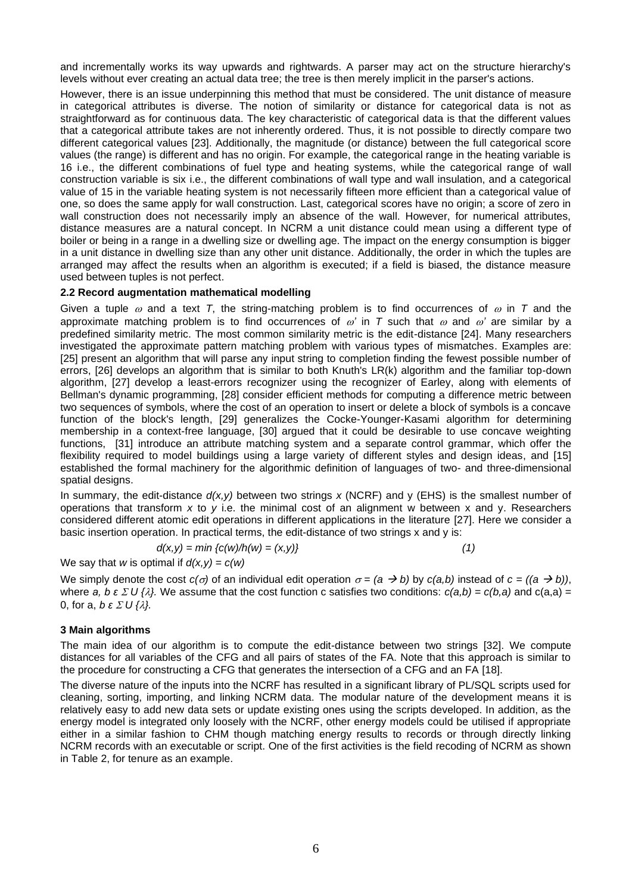and incrementally works its way upwards and rightwards. A parser may act on the structure hierarchy's levels without ever creating an actual data tree; the tree is then merely implicit in the parser's actions.

However, there is an issue underpinning this method that must be considered. The unit distance of measure in categorical attributes is diverse. The notion of similarity or distance for categorical data is not as straightforward as for continuous data. The key characteristic of categorical data is that the different values that a categorical attribute takes are not inherently ordered. Thus, it is not possible to directly compare two different categorical values [23]. Additionally, the magnitude (or distance) between the full categorical score values (the range) is different and has no origin. For example, the categorical range in the heating variable is 16 i.e., the different combinations of fuel type and heating systems, while the categorical range of wall construction variable is six i.e., the different combinations of wall type and wall insulation, and a categorical value of 15 in the variable heating system is not necessarily fifteen more efficient than a categorical value of one, so does the same apply for wall construction. Last, categorical scores have no origin; a score of zero in wall construction does not necessarily imply an absence of the wall. However, for numerical attributes, distance measures are a natural concept. In NCRM a unit distance could mean using a different type of boiler or being in a range in a dwelling size or dwelling age. The impact on the energy consumption is bigger in a unit distance in dwelling size than any other unit distance. Additionally, the order in which the tuples are arranged may affect the results when an algorithm is executed; if a field is biased, the distance measure used between tuples is not perfect.

## **2.2 Record augmentation mathematical modelling**

Given a tuple  $\omega$  and a text *T*, the string-matching problem is to find occurrences of  $\omega$  in *T* and the approximate matching problem is to find occurrences of  $\omega'$  in T such that  $\omega$  and  $\omega'$  are similar by a predefined similarity metric. The most common similarity metric is the edit-distance [24]. Many researchers investigated the approximate pattern matching problem with various types of mismatches. Examples are: [25] present an algorithm that will parse any input string to completion finding the fewest possible number of errors, [26] develops an algorithm that is similar to both Knuth's LR(k) algorithm and the familiar top-down algorithm, [27] develop a least-errors recognizer using the recognizer of Earley, along with elements of Bellman's dynamic programming, [28] consider efficient methods for computing a difference metric between two sequences of symbols, where the cost of an operation to insert or delete a block of symbols is a concave function of the block's length, [29] generalizes the Cocke-Younger-Kasami algorithm for determining membership in a context-free language, [30] argued that it could be desirable to use concave weighting functions, [31] introduce an attribute matching system and a separate control grammar, which offer the flexibility required to model buildings using a large variety of different styles and design ideas, and [15] established the formal machinery for the algorithmic definition of languages of two- and three-dimensional spatial designs.

In summary, the edit-distance *d(x,y)* between two strings *x* (NCRF) and y (EHS) is the smallest number of operations that transform *x* to *y* i.e. the minimal cost of an alignment w between x and y. Researchers considered different atomic edit operations in different applications in the literature [27]. Here we consider a basic insertion operation. In practical terms, the edit-distance of two strings x and y is:

$$
d(x,y) = min \{c(w)/h(w) = (x,y)\}\tag{1}
$$

We say that *w* is optimal if  $d(x,y) = c(w)$ 

We simply denote the cost  $c(\sigma)$  of an individual edit operation  $\sigma = (a \rightarrow b)$  by  $c(a,b)$  instead of  $c = ((a \rightarrow b))$ , where *a, b ε Σ U {* $\lambda$ *}.* We assume that the cost function c satisfies two conditions:  $c(a,b) = c(b,a)$  and  $c(a,a) =$ 0, for a, *b* ε  $\Sigma$  *U* { $\lambda$ }.

#### **3 Main algorithms**

The main idea of our algorithm is to compute the edit-distance between two strings [32]. We compute distances for all variables of the CFG and all pairs of states of the FA. Note that this approach is similar to the procedure for constructing a CFG that generates the intersection of a CFG and an FA [18].

The diverse nature of the inputs into the NCRF has resulted in a significant library of PL/SQL scripts used for cleaning, sorting, importing, and linking NCRM data. The modular nature of the development means it is relatively easy to add new data sets or update existing ones using the scripts developed. In addition, as the energy model is integrated only loosely with the NCRF, other energy models could be utilised if appropriate either in a similar fashion to CHM though matching energy results to records or through directly linking NCRM records with an executable or script. One of the first activities is the field recoding of NCRM as shown in Table 2, for tenure as an example.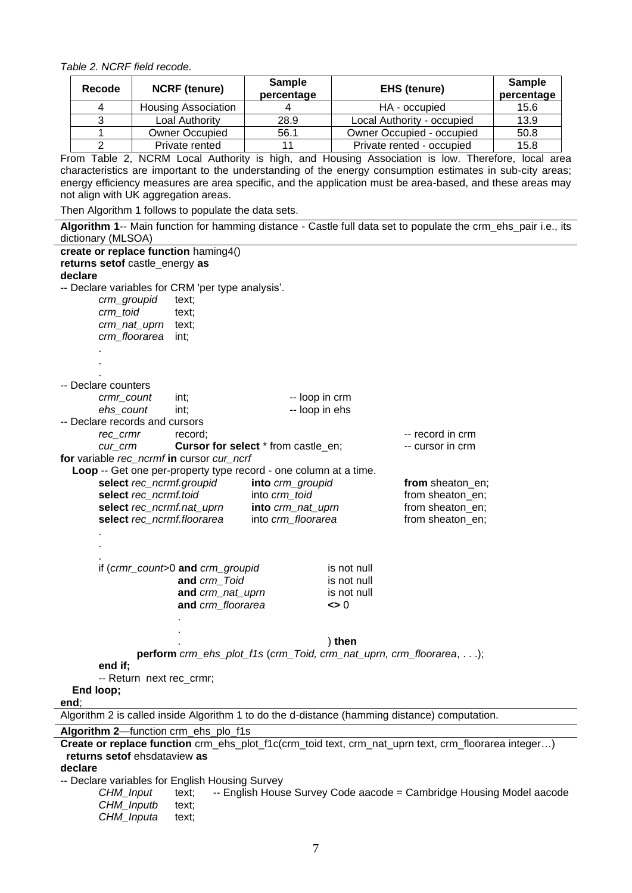*Table 2. NCRF field recode.*

| Recode | <b>NCRF</b> (tenure)       | <b>Sample</b><br>percentage | <b>EHS (tenure)</b>        | <b>Sample</b><br>percentage |
|--------|----------------------------|-----------------------------|----------------------------|-----------------------------|
|        | <b>Housing Association</b> |                             | HA - occupied              | 15.6                        |
|        | Loal Authority             | 28.9                        | Local Authority - occupied | 13.9                        |
|        | <b>Owner Occupied</b>      | 56.1                        | Owner Occupied - occupied  | 50.8                        |
|        | Private rented             |                             | Private rented - occupied  | 15.8                        |

From Table 2, NCRM Local Authority is high, and Housing Association is low. Therefore, local area characteristics are important to the understanding of the energy consumption estimates in sub-city areas; energy efficiency measures are area specific, and the application must be area-based, and these areas may not align with UK aggregation areas.

Then Algorithm 1 follows to populate the data sets. **Algorithm 1**-- Main function for hamming distance - Castle full data set to populate the crm\_ehs\_pair i.e., its dictionary (MLSOA) **create or replace function** haming4() **returns setof** castle\_energy **as declare** -- Declare variables for CRM 'per type analysis'. *crm\_groupid* text; *crm\_toid* text; *crm\_nat\_uprn* text; *crm\_floorarea* int; . . . -- Declare counters *crmr\_count* int;  $\qquad \qquad -$  loop in crm **ehs\_count** int;  $\qquad \qquad$  -- loop in ehs -- Declare records and cursors *rec\_crmr* record; The record in crm record in crm *cur\_crm* **Cursor for select** \* from castle en;  $\qquad \qquad$  -- cursor in crm **for** variable *rec\_ncrmf* **in** cursor *cur\_ncrf* **Loop** -- Get one per-property type record - one column at a time. **select** *rec\_ncrmf.groupid* **into** *crm\_groupid* **from** sheaton\_en; **select** *rec\_ncrmf.toid* into *crm\_toid* from sheaton\_en; **select** *rec\_ncrmf.nat\_uprn* **into** *crm\_nat\_uprn* from sheaton\_en; **select** *rec\_ncrmf.floorarea* into *crm\_floorarea* from sheaton\_en; . . . if (*crmr\_count*>0 **and** *crm\_groupid* is not null **and** *crm* Toid is not null **and** *crm\_nat\_uprn* is not null **and** *crm\_floorarea* **<>** 0 .

. ) **then**

**perform** *crm\_ehs\_plot\_f1s* (*crm\_Toid, crm\_nat\_uprn, crm\_floorarea*, . . .);

**end if;**

-- Return next rec\_crmr;

.

 **End loop; end**;

Algorithm 2 is called inside Algorithm 1 to do the d-distance (hamming distance) computation. **Algorithm 2**—function crm\_ehs\_plo\_f1s **Create or replace function** crm\_ehs\_plot\_f1c(crm\_toid text, crm\_nat\_uprn text, crm\_floorarea integer…) **returns setof** ehsdataview **as**

**declare**

-- Declare variables for English Housing Survey

*CHM\_Input* text; -- English House Survey Code aacode = Cambridge Housing Model aacode *CHM\_Inputb* text; *CHM\_Inputa* text;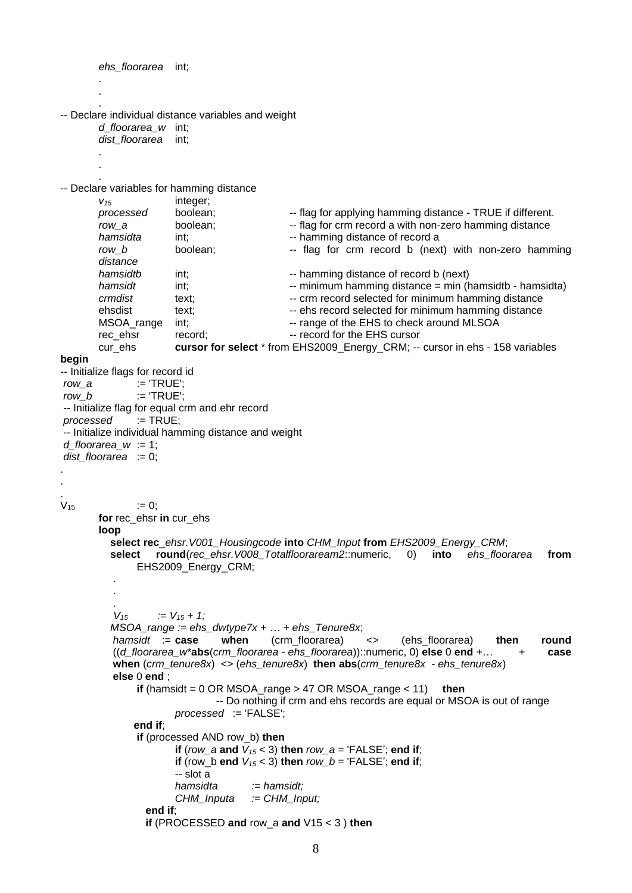```
ehs_floorarea int; 
       .
       .
       .
-- Declare individual distance variables and weight
       d_floorarea_w int;
       dist_floorarea int; 
       .
       .
       .
-- Declare variables for hamming distance
       v15 integer;
       processed boolean; \qquad \qquad \text{ - flag for applying the harmonic distance of a TRUE if different.}row_a boolean; Filag for crm record a with non-zero hamming distance
       hamsidta int; int; and the namming distance of record a
       row b boolean; \qquad - flag for crm record b (next) with non-zero hamming
       distance
       hamsidtb int; \qquad \qquad -\qquad hamming distance of record b (next)
       hamsidt int; \cdots \cdots minimum hamming distance = min (hamsidtb - hamsidta)
       crmdist text; \qquad \qquad --\qquad record selected for minimum hamming distance
       ehsdist text; \qquad \qquad -- ehs record selected for minimum hamming distance
       MSOA_range int; \blacksquare -- range of the EHS to check around MLSOA
       rec_ehsr record; The record for the EHS cursor
       cur_ehs cursor for select * from EHS2009_Energy_CRM; -- cursor in ehs - 158 variables
begin
-- Initialize flags for record id
row_a := 'TRUE';
row b := 'TRUE':-- Initialize flag for equal crm and ehr record
processed := TRUE;
-- Initialize individual hamming distance and weight
d_floorarea_w := 1;
dist_floorarea := 0;
.
.
.
V_{15} = 0;
       for rec_ehsr in cur_ehs
       loop
          select rec_ehsr.V001_Housingcode into CHM_Input from EHS2009_Energy_CRM;
          select round(rec_ehsr.V008_Totalflooraream2::numeric, 0) into ehs_floorarea from
              EHS2009_Energy_CRM;
        .
        .
        . 
          V_{15} := V_{15} + 1; MSOA_range := ehs_dwtype7x + … + ehs_Tenure8x; 
         hamsidt := case when (crm_floorarea) <> (ehs_floorarea) then round 
         ((d_floorarea_w*abs(crm_floorarea - ehs_floorarea))::numeric, 0) else 0 end +… + case 
         when (crm_tenure8x) <> (ehs_tenure8x) then abs(crm_tenure8x - ehs_tenure8x)
         else 0 end ;
              if (hamsidt = 0 OR MSOA_range > 47 OR MSOA_range < 11) then
                             -- Do nothing if crm and ehs records are equal or MSOA is out of range 
                      processed := 'FALSE'; 
              end if;
              if (processed AND row_b) then
                     if (row a and V_{15} < 3) then row a = 'FALSE'; end if:
                     if (row b end V_{15} < 3) then row b = 'FALSE'; end if;
                     -- slot a
                     hamsidta := hamsidt;
                     CHM_Inputa := CHM_Input; 
                 end if; 
                 if (PROCESSED and row_a and V15 < 3 ) then
```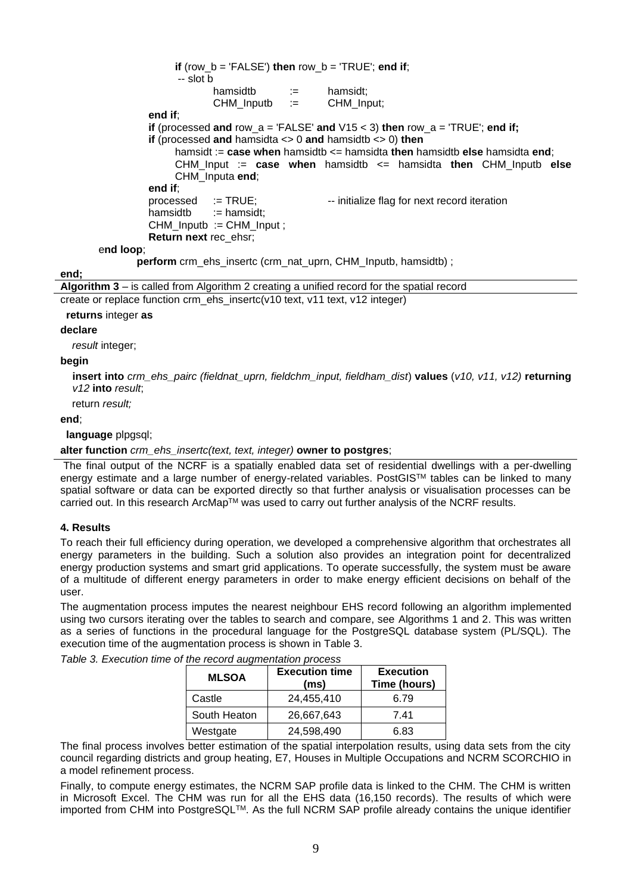**if** (row  $b = 'FALSE'$ ) **then** row  $b = 'TRUE'$ ; **end if**; -- slot b hamsidtb := hamsidt;  $CHM$  Inputb  $:=$  CHM Input: **end if**; **if** (processed and row  $a = 'FALSE'$  and  $V15 < 3$ ) **then** row  $a = 'TRUE'$ ; **end if; if** (processed **and** hamsidta <> 0 **and** hamsidtb <> 0) **then** hamsidt := **case when** hamsidtb <= hamsidta **then** hamsidtb **else** hamsidta **end**; CHM\_Input := **case when** hamsidtb <= hamsidta **then** CHM\_Inputb **else** CHM\_Inputa **end**; **end if**; processed := TRUE; -- initialize flag for next record iteration hamsidtb := hamsidt: CHM\_Inputb := CHM\_Input ; **Return next** rec\_ehsr; e**nd loop**; **perform** crm\_ehs\_insertc (crm\_nat\_uprn, CHM\_Inputb, hamsidtb) ; **Algorithm 3** – is called from Algorithm 2 creating a unified record for the spatial record

create or replace function crm\_ehs\_insertc(v10 text, v11 text, v12 integer)

## **returns** integer **as**

## **declare**

**end;**

*result* integer;

# **begin**

**insert into** *crm\_ehs\_pairc (fieldnat\_uprn, fieldchm\_input, fieldham\_dist*) **values** (*v10, v11, v12)* **returning** *v12* **into** *result*;

return *result;*

# **end**;

**language** plpgsql;

# **alter function** *crm\_ehs\_insertc(text, text, integer)* **owner to postgres**;

The final output of the NCRF is a spatially enabled data set of residential dwellings with a per-dwelling energy estimate and a large number of energy-related variables. PostGIS™ tables can be linked to many spatial software or data can be exported directly so that further analysis or visualisation processes can be carried out. In this research ArcMap™ was used to carry out further analysis of the NCRF results.

# **4. Results**

To reach their full efficiency during operation, we developed a comprehensive algorithm that orchestrates all energy parameters in the building. Such a solution also provides an integration point for decentralized energy production systems and smart grid applications. To operate successfully, the system must be aware of a multitude of different energy parameters in order to make energy efficient decisions on behalf of the user.

The augmentation process imputes the nearest neighbour EHS record following an algorithm implemented using two cursors iterating over the tables to search and compare, see Algorithms 1 and 2. This was written as a series of functions in the procedural language for the PostgreSQL database system (PL/SQL). The execution time of the augmentation process is shown in [Table 3](#page-8-0).

| the record additionation process<br><b>MLSOA</b> | <b>Execution time</b><br>(ms) | <b>Execution</b><br>Time (hours) |
|--------------------------------------------------|-------------------------------|----------------------------------|
| Castle                                           | 24,455,410                    | 6.79                             |
| South Heaton                                     | 26,667,643                    | 7.41                             |
| Westgate                                         | 24,598,490                    | 6.83                             |

<span id="page-8-0"></span>*Table 3. Execution time of the record augmentation process*

The final process involves better estimation of the spatial interpolation results, using data sets from the city council regarding districts and group heating, E7, Houses in Multiple Occupations and NCRM SCORCHIO in a model refinement process.

Finally, to compute energy estimates, the NCRM SAP profile data is linked to the CHM. The CHM is written in Microsoft Excel. The CHM was run for all the EHS data (16,150 records). The results of which were imported from CHM into PostgreSQLTM. As the full NCRM SAP profile already contains the unique identifier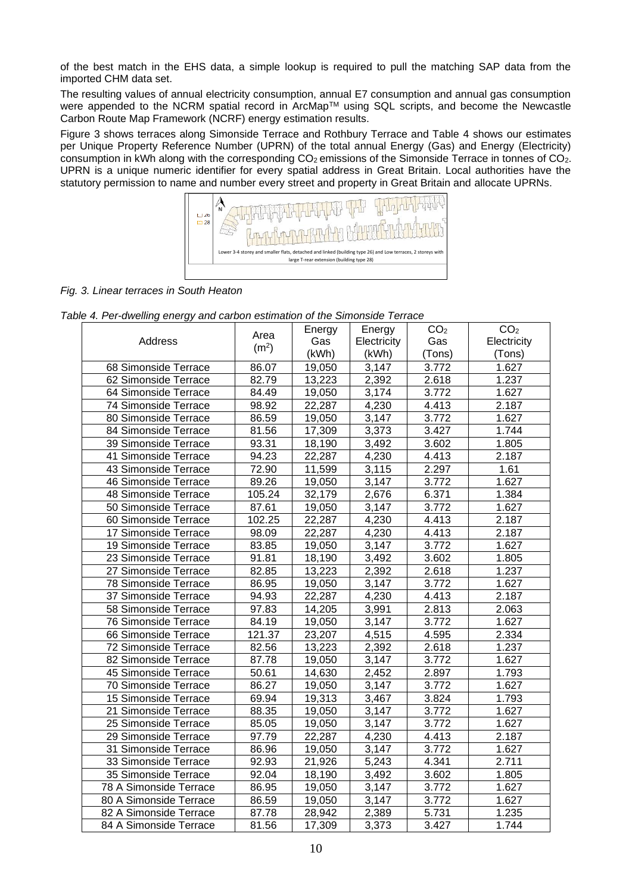of the best match in the EHS data, a simple lookup is required to pull the matching SAP data from the imported CHM data set.

The resulting values of annual electricity consumption, annual E7 consumption and annual gas consumption were appended to the NCRM spatial record in ArcMap™ using SQL scripts, and become the Newcastle Carbon Route Map Framework (NCRF) energy estimation results.

Figure 3 shows terraces along Simonside Terrace and Rothbury Terrace and Table 4 shows our estimates per Unique Property Reference Number (UPRN) of the total annual Energy (Gas) and Energy (Electricity) consumption in kWh along with the corresponding CO<sub>2</sub> emissions of the Simonside Terrace in tonnes of CO<sub>2</sub>. UPRN is a unique numeric identifier for every spatial address in Great Britain. Local authorities have the statutory permission to name and number every street and property in Great Britain and allocate UPRNs.



*Fig. 3. Linear terraces in South Heaton*

|  | Table 4. Per-dwelling energy and carbon estimation of the Simonside Terrace |  |  |  |  |  |
|--|-----------------------------------------------------------------------------|--|--|--|--|--|
|--|-----------------------------------------------------------------------------|--|--|--|--|--|

|                        | Area              | Energy              | Energy             | CO <sub>2</sub> | CO <sub>2</sub> |
|------------------------|-------------------|---------------------|--------------------|-----------------|-----------------|
| Address                | (m <sup>2</sup> ) | Gas                 | Electricity        | Gas             | Electricity     |
|                        |                   | (kWh)               | (kWh)              | (Tons)          | (Tons)          |
| 68 Simonside Terrace   | 86.07             | 19,050              | 3,147              | 3.772           | 1.627           |
| 62 Simonside Terrace   | 82.79             | 13,223              | 2,392              | 2.618           | 1.237           |
| 64 Simonside Terrace   | 84.49             | 19,050              | 3,174              | 3.772           | 1.627           |
| 74 Simonside Terrace   | 98.92             | 22,287              | 4,230              | 4.413           | 2.187           |
| 80 Simonside Terrace   | 86.59             | 19,050              | 3,147              | 3.772           | 1.627           |
| 84 Simonside Terrace   | 81.56             | 17,309              | 3,373              | 3.427           | 1.744           |
| 39 Simonside Terrace   | 93.31             | 18,190              | 3,492              | 3.602           | 1.805           |
| 41 Simonside Terrace   | 94.23             | 22,287              | 4,230              | 4.413           | 2.187           |
| 43 Simonside Terrace   | 72.90             | 11,599              | 3,115              | 2.297           | 1.61            |
| 46 Simonside Terrace   | 89.26             | 19,050              | 3,147              | 3.772           | 1.627           |
| 48 Simonside Terrace   | 105.24            | 32,179              | 2,676              | 6.371           | 1.384           |
| 50 Simonside Terrace   | 87.61             | 19,050              | 3,147              | 3.772           | 1.627           |
| 60 Simonside Terrace   | 102.25            | 22,287              | 4,230              | 4.413           | 2.187           |
| 17 Simonside Terrace   | 98.09             | 22,287              | 4,230              | 4.413           | 2.187           |
| 19 Simonside Terrace   | 83.85             | 19,050              | 3,147              | 3.772           | 1.627           |
| 23 Simonside Terrace   | 91.81             | 18,190              | 3,492              | 3.602           | 1.805           |
| 27 Simonside Terrace   | 82.85             | 13,223              | 2,392              | 2.618           | 1.237           |
| 78 Simonside Terrace   | 86.95             | 19,050              | 3,147              | 3.772           | 1.627           |
| 37 Simonside Terrace   | 94.93             | 22,287              | 4,230              | 4.413           | 2.187           |
| 58 Simonside Terrace   | 97.83             | 14,205              | 3,991              | 2.813           | 2.063           |
| 76 Simonside Terrace   | 84.19             | 19,050              | 3,147              | 3.772           | 1.627           |
| 66 Simonside Terrace   | 121.37            | $\overline{2}3,207$ | 4,515              | 4.595           | 2.334           |
| 72 Simonside Terrace   | 82.56             | 13,223              | 2,392              | 2.618           | 1.237           |
| 82 Simonside Terrace   | 87.78             | 19,050              | $\overline{3,}147$ | 3.772           | 1.627           |
| 45 Simonside Terrace   | 50.61             | 14,630              | 2,452              | 2.897           | 1.793           |
| 70 Simonside Terrace   | 86.27             | 19,050              | 3,147              | 3.772           | 1.627           |
| 15 Simonside Terrace   | 69.94             | 19,313              | 3,467              | 3.824           | 1.793           |
| 21 Simonside Terrace   | 88.35             | 19,050              | 3,147              | 3.772           | 1.627           |
| 25 Simonside Terrace   | 85.05             | 19,050              | 3,147              | 3.772           | 1.627           |
| 29 Simonside Terrace   | 97.79             | 22,287              | 4,230              | 4.413           | 2.187           |
| 31 Simonside Terrace   | 86.96             | 19,050              | 3,147              | 3.772           | 1.627           |
| 33 Simonside Terrace   | 92.93             | 21,926              | 5,243              | 4.341           | 2.711           |
| 35 Simonside Terrace   | 92.04             | 18,190              | 3,492              | 3.602           | 1.805           |
| 78 A Simonside Terrace | 86.95             | 19,050              | 3,147              | 3.772           | 1.627           |
| 80 A Simonside Terrace | 86.59             | 19,050              | 3,147              | 3.772           | 1.627           |
| 82 A Simonside Terrace | 87.78             | 28,942              | 2,389              | 5.731           | 1.235           |
| 84 A Simonside Terrace | 81.56             | 17,309              | 3,373              | 3.427           | 1.744           |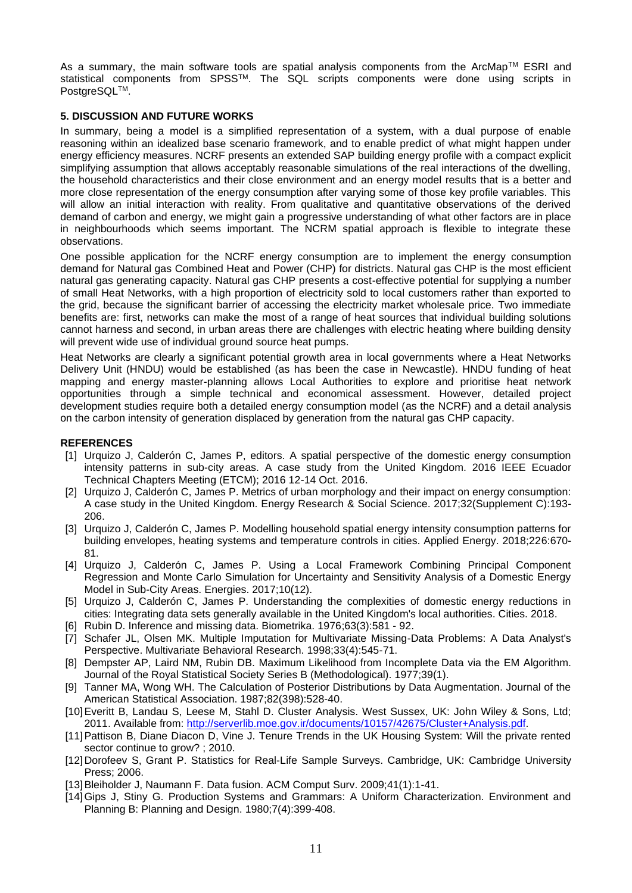As a summary, the main software tools are spatial analysis components from the ArcMap™ ESRI and statistical components from SPSSTM. The SQL scripts components were done using scripts in PostgreSQL™.

# **5. DISCUSSION AND FUTURE WORKS**

In summary, being a model is a simplified representation of a system, with a dual purpose of enable reasoning within an idealized base scenario framework, and to enable predict of what might happen under energy efficiency measures. NCRF presents an extended SAP building energy profile with a compact explicit simplifying assumption that allows acceptably reasonable simulations of the real interactions of the dwelling, the household characteristics and their close environment and an energy model results that is a better and more close representation of the energy consumption after varying some of those key profile variables. This will allow an initial interaction with reality. From qualitative and quantitative observations of the derived demand of carbon and energy, we might gain a progressive understanding of what other factors are in place in neighbourhoods which seems important. The NCRM spatial approach is flexible to integrate these observations.

One possible application for the NCRF energy consumption are to implement the energy consumption demand for Natural gas Combined Heat and Power (CHP) for districts. Natural gas CHP is the most efficient natural gas generating capacity. Natural gas CHP presents a cost-effective potential for supplying a number of small Heat Networks, with a high proportion of electricity sold to local customers rather than exported to the grid, because the significant barrier of accessing the electricity market wholesale price. Two immediate benefits are: first, networks can make the most of a range of heat sources that individual building solutions cannot harness and second, in urban areas there are challenges with electric heating where building density will prevent wide use of individual ground source heat pumps.

Heat Networks are clearly a significant potential growth area in local governments where a Heat Networks Delivery Unit (HNDU) would be established (as has been the case in Newcastle). HNDU funding of heat mapping and energy master-planning allows Local Authorities to explore and prioritise heat network opportunities through a simple technical and economical assessment. However, detailed project development studies require both a detailed energy consumption model (as the NCRF) and a detail analysis on the carbon intensity of generation displaced by generation from the natural gas CHP capacity.

## **REFERENCES**

- [1] Urquizo J, Calderón C, James P, editors. A spatial perspective of the domestic energy consumption intensity patterns in sub-city areas. A case study from the United Kingdom. 2016 IEEE Ecuador Technical Chapters Meeting (ETCM); 2016 12-14 Oct. 2016.
- [2] Urquizo J, Calderón C, James P. Metrics of urban morphology and their impact on energy consumption: A case study in the United Kingdom. Energy Research & Social Science. 2017;32(Supplement C):193- 206.
- [3] Urquizo J, Calderón C, James P. Modelling household spatial energy intensity consumption patterns for building envelopes, heating systems and temperature controls in cities. Applied Energy. 2018;226:670- 81.
- [4] Urquizo J, Calderón C, James P. Using a Local Framework Combining Principal Component Regression and Monte Carlo Simulation for Uncertainty and Sensitivity Analysis of a Domestic Energy Model in Sub-City Areas. Energies. 2017;10(12).
- [5] Urquizo J, Calderón C, James P. Understanding the complexities of domestic energy reductions in cities: Integrating data sets generally available in the United Kingdom's local authorities. Cities. 2018.
- [6] Rubin D. Inference and missing data. Biometrika. 1976;63(3):581 92.
- [7] Schafer JL, Olsen MK. Multiple Imputation for Multivariate Missing-Data Problems: A Data Analyst's Perspective. Multivariate Behavioral Research. 1998;33(4):545-71.
- [8] Dempster AP, Laird NM, Rubin DB. Maximum Likelihood from Incomplete Data via the EM Algorithm. Journal of the Royal Statistical Society Series B (Methodological). 1977;39(1).
- [9] Tanner MA, Wong WH. The Calculation of Posterior Distributions by Data Augmentation. Journal of the American Statistical Association. 1987;82(398):528-40.
- [10]Everitt B, Landau S, Leese M, Stahl D. Cluster Analysis. West Sussex, UK: John Wiley & Sons, Ltd; 2011. Available from: [http://serverlib.moe.gov.ir/documents/10157/42675/Cluster+Analysis.pdf.](http://serverlib.moe.gov.ir/documents/10157/42675/Cluster+Analysis.pdf)
- [11] Pattison B, Diane Diacon D, Vine J. Tenure Trends in the UK Housing System: Will the private rented sector continue to grow? ; 2010.
- [12]Dorofeev S, Grant P. Statistics for Real-Life Sample Surveys. Cambridge, UK: Cambridge University Press; 2006.
- [13]Bleiholder J, Naumann F. Data fusion. ACM Comput Surv. 2009;41(1):1-41.
- [14]Gips J, Stiny G. Production Systems and Grammars: A Uniform Characterization. Environment and Planning B: Planning and Design. 1980;7(4):399-408.